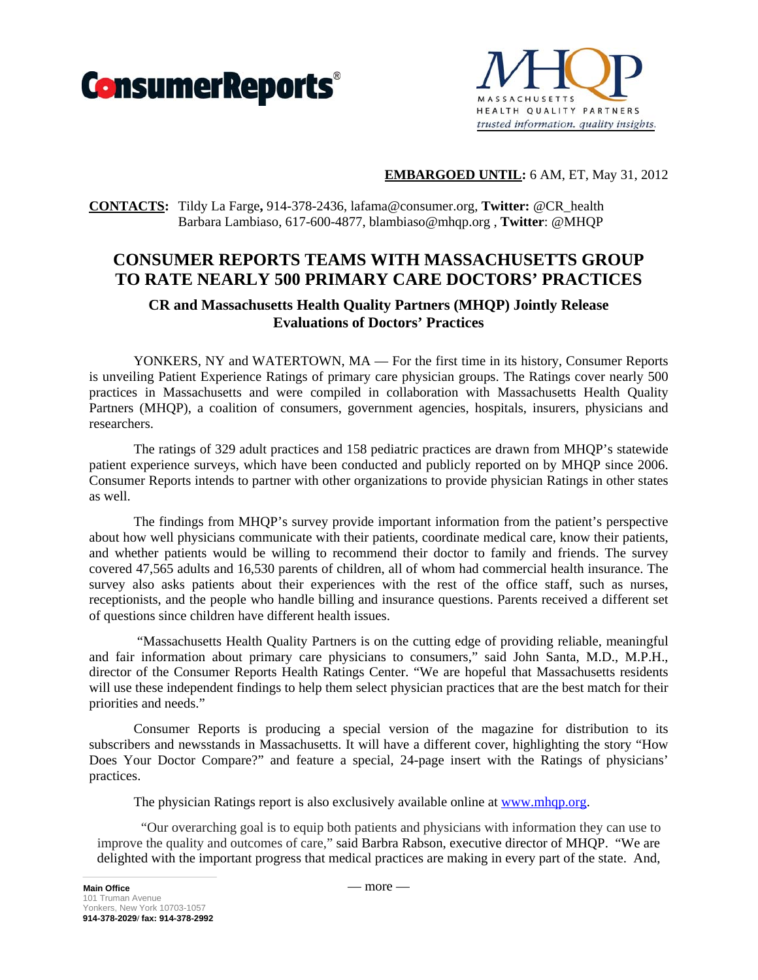



# **EMBARGOED UNTIL:** 6 AM, ET, May 31, 2012

# **CONTACTS:** Tildy La Farge**,** 914-378-2436, lafama@consumer.org, **Twitter:** @CR\_health Barbara Lambiaso, 617-600-4877, blambiaso@mhqp.org , **Twitter**: @MHQP

# **CONSUMER REPORTS TEAMS WITH MASSACHUSETTS GROUP TO RATE NEARLY 500 PRIMARY CARE DOCTORS' PRACTICES**

# **CR and Massachusetts Health Quality Partners (MHQP) Jointly Release Evaluations of Doctors' Practices**

YONKERS, NY and WATERTOWN, MA — For the first time in its history, Consumer Reports is unveiling Patient Experience Ratings of primary care physician groups. The Ratings cover nearly 500 practices in Massachusetts and were compiled in collaboration with Massachusetts Health Quality Partners (MHQP), a coalition of consumers, government agencies, hospitals, insurers, physicians and researchers.

The ratings of 329 adult practices and 158 pediatric practices are drawn from MHQP's statewide patient experience surveys, which have been conducted and publicly reported on by MHQP since 2006. Consumer Reports intends to partner with other organizations to provide physician Ratings in other states as well.

The findings from MHQP's survey provide important information from the patient's perspective about how well physicians communicate with their patients, coordinate medical care, know their patients, and whether patients would be willing to recommend their doctor to family and friends. The survey covered 47,565 adults and 16,530 parents of children, all of whom had commercial health insurance. The survey also asks patients about their experiences with the rest of the office staff, such as nurses, receptionists, and the people who handle billing and insurance questions. Parents received a different set of questions since children have different health issues.

 "Massachusetts Health Quality Partners is on the cutting edge of providing reliable, meaningful and fair information about primary care physicians to consumers," said John Santa, M.D., M.P.H., director of the Consumer Reports Health Ratings Center. "We are hopeful that Massachusetts residents will use these independent findings to help them select physician practices that are the best match for their priorities and needs."

Consumer Reports is producing a special version of the magazine for distribution to its subscribers and newsstands in Massachusetts. It will have a different cover, highlighting the story "How Does Your Doctor Compare?" and feature a special, 24-page insert with the Ratings of physicians' practices.

The physician Ratings report is also exclusively available online at www.mhqp.org.

 "Our overarching goal is to equip both patients and physicians with information they can use to improve the quality and outcomes of care," said Barbra Rabson, executive director of MHQP. "We are delighted with the important progress that medical practices are making in every part of the state. And,

 $-$  more  $-$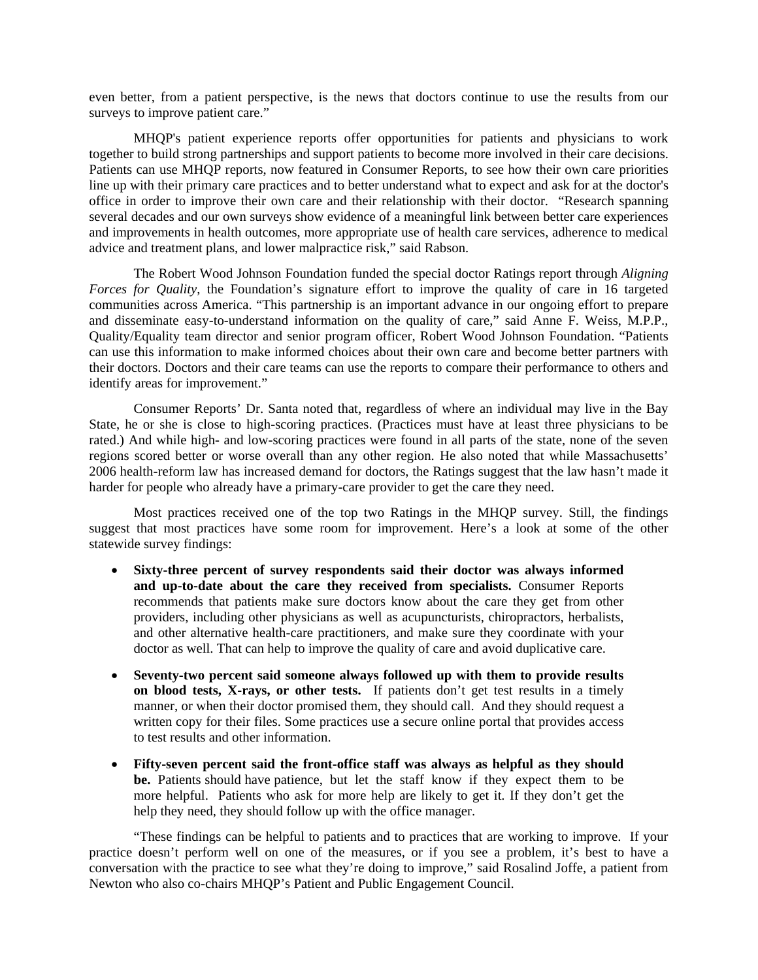even better, from a patient perspective, is the news that doctors continue to use the results from our surveys to improve patient care."

MHQP's patient experience reports offer opportunities for patients and physicians to work together to build strong partnerships and support patients to become more involved in their care decisions. Patients can use MHQP reports, now featured in Consumer Reports, to see how their own care priorities line up with their primary care practices and to better understand what to expect and ask for at the doctor's office in order to improve their own care and their relationship with their doctor. "Research spanning several decades and our own surveys show evidence of a meaningful link between better care experiences and improvements in health outcomes, more appropriate use of health care services, adherence to medical advice and treatment plans, and lower malpractice risk," said Rabson.

The Robert Wood Johnson Foundation funded the special doctor Ratings report through *Aligning Forces for Quality*, the Foundation's signature effort to improve the quality of care in 16 targeted communities across America. "This partnership is an important advance in our ongoing effort to prepare and disseminate easy-to-understand information on the quality of care," said Anne F. Weiss, M.P.P., Quality/Equality team director and senior program officer, Robert Wood Johnson Foundation. "Patients can use this information to make informed choices about their own care and become better partners with their doctors. Doctors and their care teams can use the reports to compare their performance to others and identify areas for improvement."

Consumer Reports' Dr. Santa noted that, regardless of where an individual may live in the Bay State, he or she is close to high-scoring practices. (Practices must have at least three physicians to be rated.) And while high- and low-scoring practices were found in all parts of the state, none of the seven regions scored better or worse overall than any other region. He also noted that while Massachusetts' 2006 health-reform law has increased demand for doctors, the Ratings suggest that the law hasn't made it harder for people who already have a primary-care provider to get the care they need.

Most practices received one of the top two Ratings in the MHQP survey. Still, the findings suggest that most practices have some room for improvement. Here's a look at some of the other statewide survey findings:

- **Sixty-three percent of survey respondents said their doctor was always informed and up-to-date about the care they received from specialists.** Consumer Reports recommends that patients make sure doctors know about the care they get from other providers, including other physicians as well as acupuncturists, chiropractors, herbalists, and other alternative health-care practitioners, and make sure they coordinate with your doctor as well. That can help to improve the quality of care and avoid duplicative care.
- **Seventy-two percent said someone always followed up with them to provide results on blood tests, X-rays, or other tests.** If patients don't get test results in a timely manner, or when their doctor promised them, they should call. And they should request a written copy for their files. Some practices use a secure online portal that provides access to test results and other information.
- **Fifty-seven percent said the front-office staff was always as helpful as they should be.** Patients should have patience, but let the staff know if they expect them to be more helpful. Patients who ask for more help are likely to get it. If they don't get the help they need, they should follow up with the office manager.

"These findings can be helpful to patients and to practices that are working to improve. If your practice doesn't perform well on one of the measures, or if you see a problem, it's best to have a conversation with the practice to see what they're doing to improve," said Rosalind Joffe, a patient from Newton who also co-chairs MHQP's Patient and Public Engagement Council.